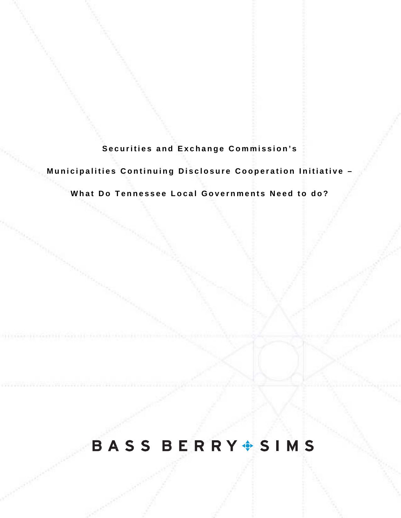**Securities and Exchange Commission's** 

**Municipalities Continuing Disclosure Cooperation Initiative –** 

**What Do Tennessee Local Governments Need to do?**

# BASS BERRY SIMS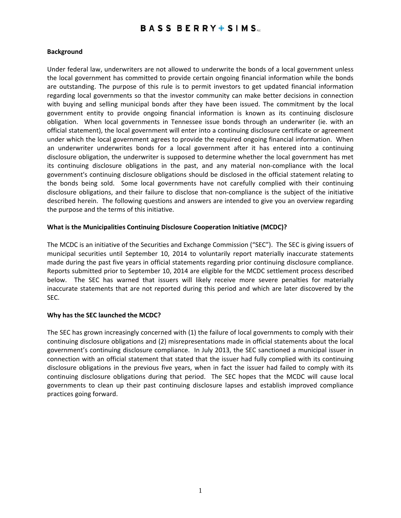### **BASS BERRY SIMS**

#### **Background**

Under federal law, underwriters are not allowed to underwrite the bonds of a local government unless the local government has committed to provide certain ongoing financial information while the bonds are outstanding. The purpose of this rule is to permit investors to get updated financial information regarding local governments so that the investor community can make better decisions in connection with buying and selling municipal bonds after they have been issued. The commitment by the local government entity to provide ongoing financial information is known as its continuing disclosure obligation. When local governments in Tennessee issue bonds through an underwriter (ie. with an official statement), the local government will enter into a continuing disclosure certificate or agreement under which the local government agrees to provide the required ongoing financial information. When an underwriter underwrites bonds for a local government after it has entered into a continuing disclosure obligation, the underwriter is supposed to determine whether the local government has met its continuing disclosure obligations in the past, and any material non‐compliance with the local government's continuing disclosure obligations should be disclosed in the official statement relating to the bonds being sold. Some local governments have not carefully complied with their continuing disclosure obligations, and their failure to disclose that non‐compliance is the subject of the initiative described herein. The following questions and answers are intended to give you an overview regarding the purpose and the terms of this initiative.

#### **What is the Municipalities Continuing Disclosure Cooperation Initiative (MCDC)?**

The MCDC is an initiative of the Securities and Exchange Commission ("SEC"). The SEC is giving issuers of municipal securities until September 10, 2014 to voluntarily report materially inaccurate statements made during the past five years in official statements regarding prior continuing disclosure compliance. Reports submitted prior to September 10, 2014 are eligible for the MCDC settlement process described below. The SEC has warned that issuers will likely receive more severe penalties for materially inaccurate statements that are not reported during this period and which are later discovered by the SEC.

#### **Why has the SEC launched the MCDC?**

The SEC has grown increasingly concerned with (1) the failure of local governments to comply with their continuing disclosure obligations and (2) misrepresentations made in official statements about the local government's continuing disclosure compliance. In July 2013, the SEC sanctioned a municipal issuer in connection with an official statement that stated that the issuer had fully complied with its continuing disclosure obligations in the previous five years, when in fact the issuer had failed to comply with its continuing disclosure obligations during that period. The SEC hopes that the MCDC will cause local governments to clean up their past continuing disclosure lapses and establish improved compliance practices going forward.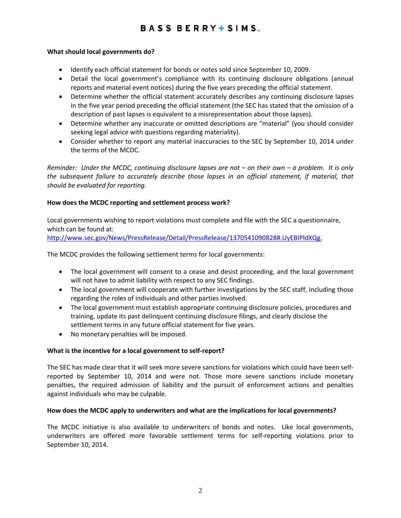## **BASS BERRY** SIMS

#### **What should local governments do?**

- Identify each official statement for bonds or notes sold since September 10, 2009.
- Detail the local government's compliance with its continuing disclosure obligations (annual reports and material event notices) during the five years preceding the official statement.
- Determine whether the official statement accurately describes any continuing disclosure lapses in the five year period preceding the official statement (the SEC has stated that the omission of a description of past lapses is equivalent to a misrepresentation about those lapses).
- Determine whether any inaccurate or omitted descriptions are "material" (you should consider seeking legal advice with questions regarding materiality).
- Consider whether to report any material inaccuracies to the SEC by September 10, 2014 under the terms of the MCDC.

Reminder: Under the MCDC, continuing disclosure lapses are not  $-$  on their own  $-$  a problem. It is only *the subsequent failure to accurately describe those lapses in an official statement, if material, that should be evaluated for reporting.* 

#### **How does the MCDC reporting and settlement process work?**

Local governments wishing to report violations must complete and file with the SEC a questionnaire, which can be found at:

http://www.sec.gov/News/PressRelease/Detail/PressRelease/1370541090828#.UyEBIPldXQg.

The MCDC provides the following settlement terms for local governments:

- The local government will consent to a cease and desist proceeding, and the local government will not have to admit liability with respect to any SEC findings.
- The local government will cooperate with further investigations by the SEC staff, including those regarding the roles of individuals and other parties involved.
- The local government must establish appropriate continuing disclosure policies, procedures and training, update its past delinquent continuing disclosure filings, and clearly disclose the settlement terms in any future official statement for five years.
- No monetary penalties will be imposed.

#### **What is the incentive for a local government to self‐report?**

The SEC has made clear that it will seek more severe sanctions for violations which could have been self‐ reported by September 10, 2014 and were not. Those more severe sanctions include monetary penalties, the required admission of liability and the pursuit of enforcement actions and penalties against individuals who may be culpable.

#### **How does the MCDC apply to underwriters and what are the implications for local governments?**

The MCDC initiative is also available to underwriters of bonds and notes. Like local governments, underwriters are offered more favorable settlement terms for self‐reporting violations prior to September 10, 2014.